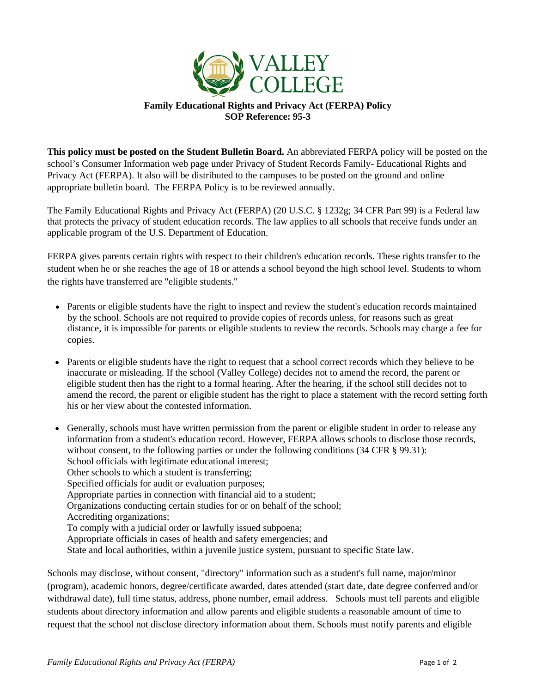

## **Family Educational Rights and Privacy Act (FERPA) Policy SOP Reference: 95-3**

**This policy must be posted on the Student Bulletin Board.** An abbreviated FERPA policy will be posted on the school's Consumer Information web page under Privacy of Student Records Family- Educational Rights and Privacy Act (FERPA). It also will be distributed to the campuses to be posted on the ground and online appropriate bulletin board. The FERPA Policy is to be reviewed annually.

The Family Educational Rights and Privacy Act (FERPA) (20 U.S.C. § 1232g; 34 CFR Part 99) is a Federal law that protects the privacy of student education records. The law applies to all schools that receive funds under an applicable program of the U.S. Department of Education.

FERPA gives parents certain rights with respect to their children's education records. These rights transfer to the student when he or she reaches the age of 18 or attends a school beyond the high school level. Students to whom the rights have transferred are "eligible students."

- Parents or eligible students have the right to inspect and review the student's education records maintained by the school. Schools are not required to provide copies of records unless, for reasons such as great distance, it is impossible for parents or eligible students to review the records. Schools may charge a fee for copies.
- Parents or eligible students have the right to request that a school correct records which they believe to be inaccurate or misleading. If the school (Valley College) decides not to amend the record, the parent or eligible student then has the right to a formal hearing. After the hearing, if the school still decides not to amend the record, the parent or eligible student has the right to place a statement with the record setting forth his or her view about the contested information.
- Generally, schools must have written permission from the parent or eligible student in order to release any information from a student's education record. However, FERPA allows schools to disclose those records, without consent, to the following parties or under the following conditions (34 CFR § 99.31): School officials with legitimate educational interest; Other schools to which a student is transferring; Specified officials for audit or evaluation purposes; Appropriate parties in connection with financial aid to a student; Organizations conducting certain studies for or on behalf of the school; Accrediting organizations; To comply with a judicial order or lawfully issued subpoena; Appropriate officials in cases of health and safety emergencies; and State and local authorities, within a juvenile justice system, pursuant to specific State law.

Schools may disclose, without consent, "directory" information such as a student's full name, major/minor (program), academic honors, degree/certificate awarded, dates attended (start date, date degree conferred and/or withdrawal date), full time status, address, phone number, email address. Schools must tell parents and eligible students about directory information and allow parents and eligible students a reasonable amount of time to request that the school not disclose directory information about them. Schools must notify parents and eligible